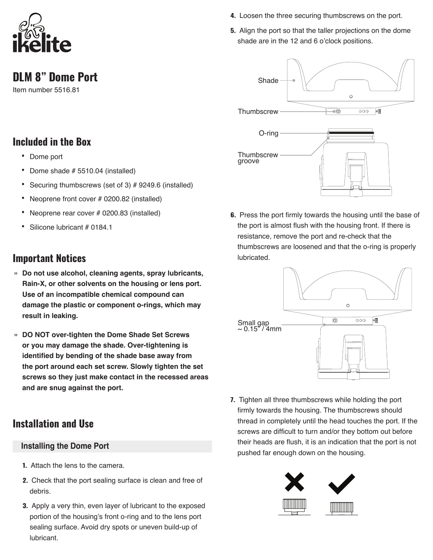

**DLM 8" Dome Port**

Item number 5516.81

# **Included in the Box**

- Dome port
- Dome shade # 5510.04 (installed)
- Securing thumbscrews (set of 3) # 9249.6 (installed)
- Neoprene front cover # 0200.82 (installed)
- Neoprene rear cover # 0200.83 (installed)
- Silicone lubricant # 0184.1

## **Important Notices**

- » **Do not use alcohol, cleaning agents, spray lubricants, Rain-X, or other solvents on the housing or lens port. Use of an incompatible chemical compound can damage the plastic or component o-rings, which may result in leaking.**
- » **DO NOT over-tighten the Dome Shade Set Screws or you may damage the shade. Over-tightening is identified by bending of the shade base away from the port around each set screw. Slowly tighten the set screws so they just make contact in the recessed areas and are snug against the port.**

# **Installation and Use**

### **Installing the Dome Port**

- **1.** Attach the lens to the camera.
- **2.** Check that the port sealing surface is clean and free of debris.
- **3.** Apply a very thin, even layer of lubricant to the exposed portion of the housing's front o-ring and to the lens port sealing surface. Avoid dry spots or uneven build-up of lubricant.
- **4.** Loosen the three securing thumbscrews on the port.
- **5.** Align the port so that the taller projections on the dome shade are in the 12 and 6 o'clock positions.



**6.** Press the port firmly towards the housing until the base of the port is almost flush with the housing front. If there is resistance, remove the port and re-check that the thumbscrews are loosened and that the o-ring is properly lubricated.



**7.** Tighten all three thumbscrews while holding the port firmly towards the housing. The thumbscrews should thread in completely until the head touches the port. If the screws are difficult to turn and/or they bottom out before their heads are flush, it is an indication that the port is not pushed far enough down on the housing.